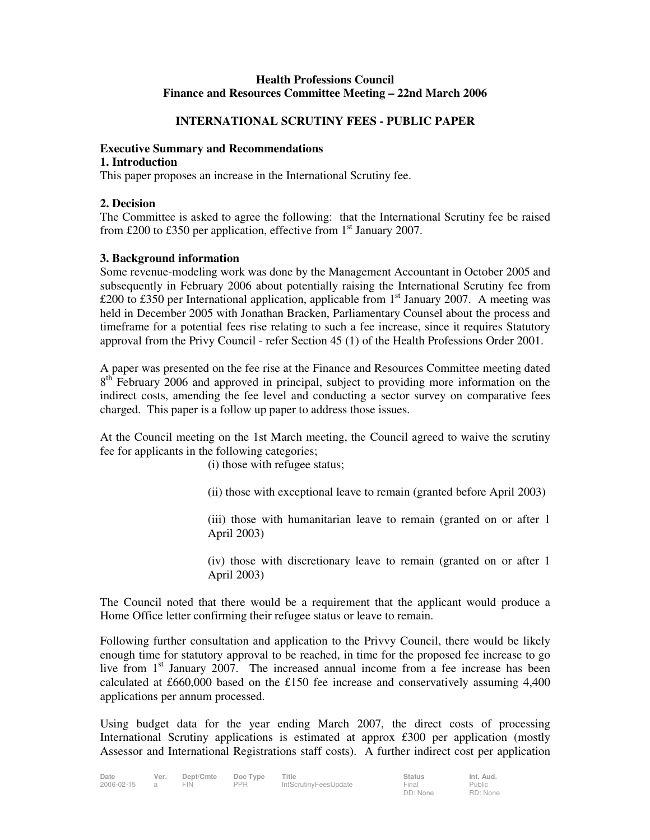# **Health Professions Council Finance and Resources Committee Meeting – 22nd March 2006**

# **INTERNATIONAL SCRUTINY FEES - PUBLIC PAPER**

### **Executive Summary and Recommendations**

#### **1. Introduction**

This paper proposes an increase in the International Scrutiny fee.

### **2. Decision**

The Committee is asked to agree the following: that the International Scrutiny fee be raised from £200 to £350 per application, effective from  $1<sup>st</sup>$  January 2007.

# **3. Background information**

Some revenue-modeling work was done by the Management Accountant in October 2005 and subsequently in February 2006 about potentially raising the International Scrutiny fee from £200 to £350 per International application, applicable from  $1<sup>st</sup>$  January 2007. A meeting was held in December 2005 with Jonathan Bracken, Parliamentary Counsel about the process and timeframe for a potential fees rise relating to such a fee increase, since it requires Statutory approval from the Privy Council - refer Section 45 (1) of the Health Professions Order 2001.

A paper was presented on the fee rise at the Finance and Resources Committee meeting dated 8<sup>th</sup> February 2006 and approved in principal, subject to providing more information on the indirect costs, amending the fee level and conducting a sector survey on comparative fees charged. This paper is a follow up paper to address those issues.

At the Council meeting on the 1st March meeting, the Council agreed to waive the scrutiny fee for applicants in the following categories;

(i) those with refugee status;

(ii) those with exceptional leave to remain (granted before April 2003)

(iii) those with humanitarian leave to remain (granted on or after 1 April 2003)

(iv) those with discretionary leave to remain (granted on or after 1 April 2003)

The Council noted that there would be a requirement that the applicant would produce a Home Office letter confirming their refugee status or leave to remain.

Following further consultation and application to the Privvy Council, there would be likely enough time for statutory approval to be reached, in time for the proposed fee increase to go live from 1<sup>st</sup> January 2007. The increased annual income from a fee increase has been calculated at £660,000 based on the £150 fee increase and conservatively assuming 4,400 applications per annum processed.

Using budget data for the year ending March 2007, the direct costs of processing International Scrutiny applications is estimated at approx £300 per application (mostly Assessor and International Registrations staff costs). A further indirect cost per application